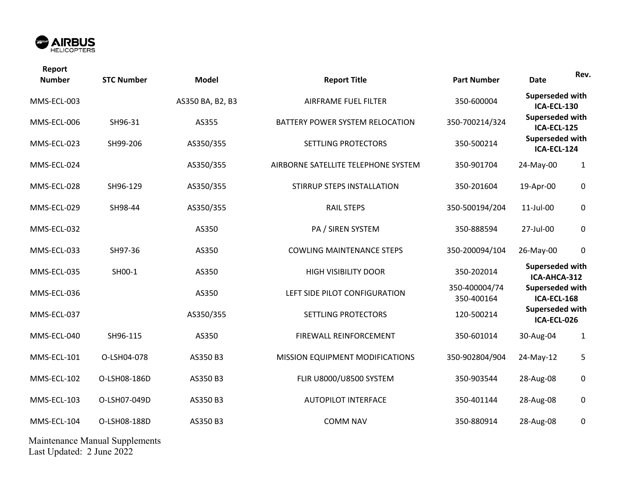

| Report<br><b>Number</b> | <b>STC Number</b> | <b>Model</b>     | <b>Report Title</b>                 | <b>Part Number</b>          | <b>Date</b>                                                                                         | Rev.         |
|-------------------------|-------------------|------------------|-------------------------------------|-----------------------------|-----------------------------------------------------------------------------------------------------|--------------|
| MMS-ECL-003             |                   | AS350 BA, B2, B3 | AIRFRAME FUEL FILTER                | 350-600004                  | Superseded with<br>ICA-ECL-130<br>Superseded with<br>ICA-ECL-125<br>Superseded with<br>ICA-ECL-124  |              |
| MMS-ECL-006             | SH96-31           | AS355            | BATTERY POWER SYSTEM RELOCATION     | 350-700214/324              |                                                                                                     |              |
| MMS-ECL-023             | SH99-206          | AS350/355        | SETTLING PROTECTORS                 | 350-500214                  |                                                                                                     |              |
| MMS-ECL-024             |                   | AS350/355        | AIRBORNE SATELLITE TELEPHONE SYSTEM | 350-901704                  | 24-May-00                                                                                           | $\mathbf{1}$ |
| MMS-ECL-028             | SH96-129          | AS350/355        | STIRRUP STEPS INSTALLATION          | 350-201604                  | 19-Apr-00                                                                                           | $\mathbf 0$  |
| MMS-ECL-029             | SH98-44           | AS350/355        | <b>RAIL STEPS</b>                   | 350-500194/204              | 11-Jul-00                                                                                           | $\mathbf 0$  |
| MMS-ECL-032             |                   | AS350            | PA / SIREN SYSTEM                   | 350-888594                  | 27-Jul-00                                                                                           | $\mathbf 0$  |
| MMS-ECL-033             | SH97-36           | AS350            | <b>COWLING MAINTENANCE STEPS</b>    | 350-200094/104              | 26-May-00                                                                                           | $\mathbf 0$  |
| MMS-ECL-035             | SH00-1            | AS350            | <b>HIGH VISIBILITY DOOR</b>         | 350-202014                  | Superseded with<br>ICA-AHCA-312<br>Superseded with<br>ICA-ECL-168<br>Superseded with<br>ICA-ECL-026 |              |
| MMS-ECL-036             |                   | AS350            | LEFT SIDE PILOT CONFIGURATION       | 350-400004/74<br>350-400164 |                                                                                                     |              |
| MMS-ECL-037             |                   | AS350/355        | SETTLING PROTECTORS                 | 120-500214                  |                                                                                                     |              |
| MMS-ECL-040             | SH96-115          | AS350            | FIREWALL REINFORCEMENT              | 350-601014                  | 30-Aug-04                                                                                           | 1            |
| MMS-ECL-101             | O-LSH04-078       | AS350 B3         | MISSION EQUIPMENT MODIFICATIONS     | 350-902804/904              | 24-May-12                                                                                           | 5            |
| MMS-ECL-102             | O-LSH08-186D      | AS350 B3         | FLIR U8000/U8500 SYSTEM             | 350-903544                  | 28-Aug-08                                                                                           | $\mathbf 0$  |
| MMS-ECL-103             | O-LSH07-049D      | AS350 B3         | <b>AUTOPILOT INTERFACE</b>          | 350-401144                  | 28-Aug-08                                                                                           | $\pmb{0}$    |
| MMS-ECL-104             | O-LSH08-188D      | AS350 B3         | <b>COMM NAV</b>                     | 350-880914                  | 28-Aug-08                                                                                           | $\mathbf 0$  |

Maintenance Manual Supplements Last Updated: 2 June 2022